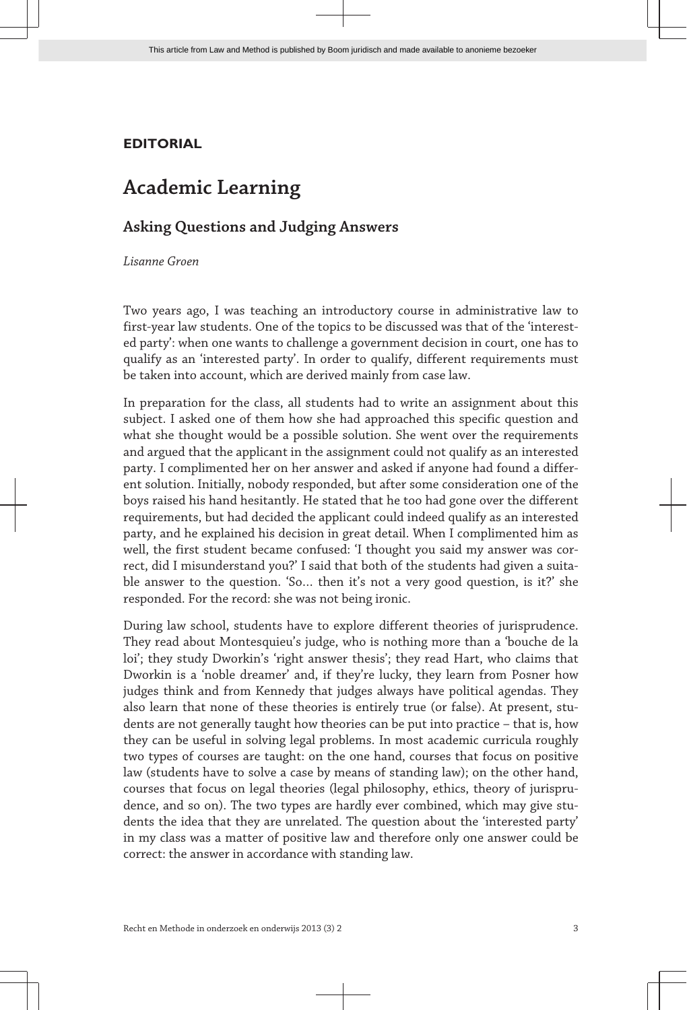## **EDITORIAL**

## **Academic Learning**

## **Asking Questions and Judging Answers**

*Lisanne Groen*

Two years ago, I was teaching an introductory course in administrative law to first-year law students. One of the topics to be discussed was that of the 'interested party': when one wants to challenge a government decision in court, one has to qualify as an 'interested party'. In order to qualify, different requirements must be taken into account, which are derived mainly from case law.

In preparation for the class, all students had to write an assignment about this subject. I asked one of them how she had approached this specific question and what she thought would be a possible solution. She went over the requirements and argued that the applicant in the assignment could not qualify as an interested party. I complimented her on her answer and asked if anyone had found a differ‐ ent solution. Initially, nobody responded, but after some consideration one of the boys raised his hand hesitantly. He stated that he too had gone over the different requirements, but had decided the applicant could indeed qualify as an interested party, and he explained his decision in great detail. When I complimented him as well, the first student became confused: 'I thought you said my answer was correct, did I misunderstand you?' I said that both of the students had given a suitable answer to the question. 'So… then it's not a very good question, is it?' she responded. For the record: she was not being ironic.

During law school, students have to explore different theories of jurisprudence. They read about Montesquieu's judge, who is nothing more than a 'bouche de la loi'; they study Dworkin's 'right answer thesis'; they read Hart, who claims that Dworkin is a 'noble dreamer' and, if they're lucky, they learn from Posner how judges think and from Kennedy that judges always have political agendas. They also learn that none of these theories is entirely true (or false). At present, students are not generally taught how theories can be put into practice – that is, how they can be useful in solving legal problems. In most academic curricula roughly two types of courses are taught: on the one hand, courses that focus on positive law (students have to solve a case by means of standing law); on the other hand, courses that focus on legal theories (legal philosophy, ethics, theory of jurispru‐ dence, and so on). The two types are hardly ever combined, which may give students the idea that they are unrelated. The question about the 'interested party' in my class was a matter of positive law and therefore only one answer could be correct: the answer in accordance with standing law.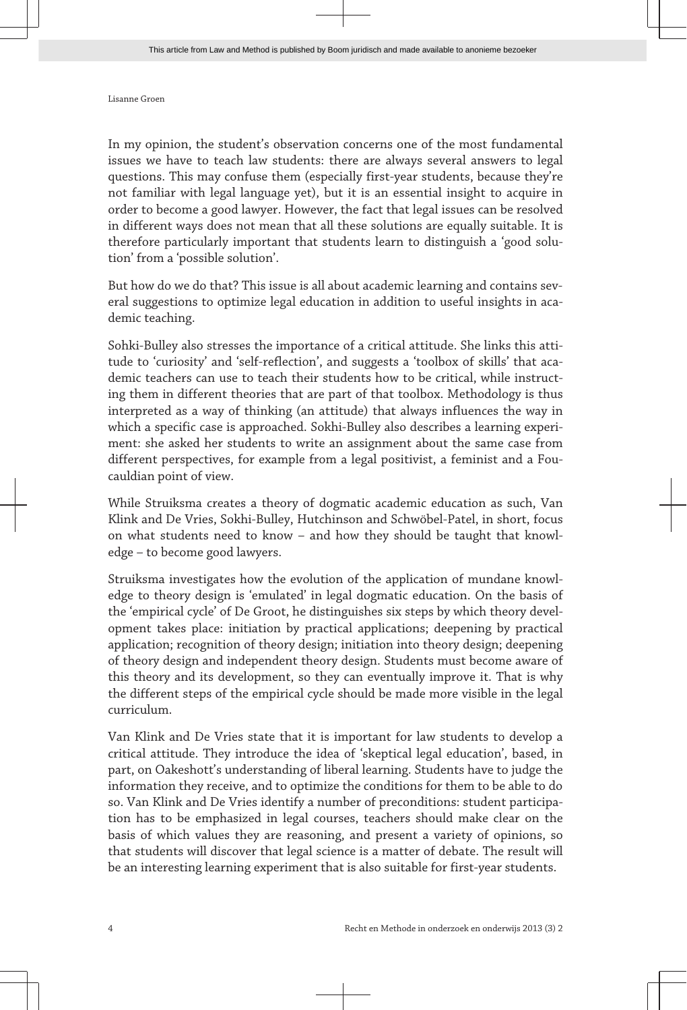Lisanne Groen

In my opinion, the student's observation concerns one of the most fundamental issues we have to teach law students: there are always several answers to legal questions. This may confuse them (especially first-year students, because they're not familiar with legal language yet), but it is an essential insight to acquire in order to become a good lawyer. However, the fact that legal issues can be resolved in different ways does not mean that all these solutions are equally suitable. It is therefore particularly important that students learn to distinguish a 'good solu‐ tion' from a 'possible solution'.

But how do we do that? This issue is all about academic learning and contains sev‐ eral suggestions to optimize legal education in addition to useful insights in academic teaching.

Sohki-Bulley also stresses the importance of a critical attitude. She links this atti‐ tude to 'curiosity' and 'self-reflection', and suggests a 'toolbox of skills' that academic teachers can use to teach their students how to be critical, while instructing them in different theories that are part of that toolbox. Methodology is thus interpreted as a way of thinking (an attitude) that always influences the way in which a specific case is approached. Sokhi-Bulley also describes a learning experi‐ ment: she asked her students to write an assignment about the same case from different perspectives, for example from a legal positivist, a feminist and a Fou‐ cauldian point of view.

While Struiksma creates a theory of dogmatic academic education as such, Van Klink and De Vries, Sokhi-Bulley, Hutchinson and Schwöbel-Patel, in short, focus on what students need to know - and how they should be taught that knowledge – to become good lawyers.

Struiksma investigates how the evolution of the application of mundane knowledge to theory design is 'emulated' in legal dogmatic education. On the basis of the 'empirical cycle' of De Groot, he distinguishes six steps by which theory development takes place: initiation by practical applications; deepening by practical application; recognition of theory design; initiation into theory design; deepening of theory design and independent theory design. Students must become aware of this theory and its development, so they can eventually improve it. That is why the different steps of the empirical cycle should be made more visible in the legal curriculum.

Van Klink and De Vries state that it is important for law students to develop a critical attitude. They introduce the idea of 'skeptical legal education', based, in part, on Oakeshott's understanding of liberal learning. Students have to judge the information they receive, and to optimize the conditions for them to be able to do so. Van Klink and De Vries identify a number of preconditions: student participation has to be emphasized in legal courses, teachers should make clear on the basis of which values they are reasoning, and present a variety of opinions, so that students will discover that legal science is a matter of debate. The result will be an interesting learning experiment that is also suitable for first-year students.